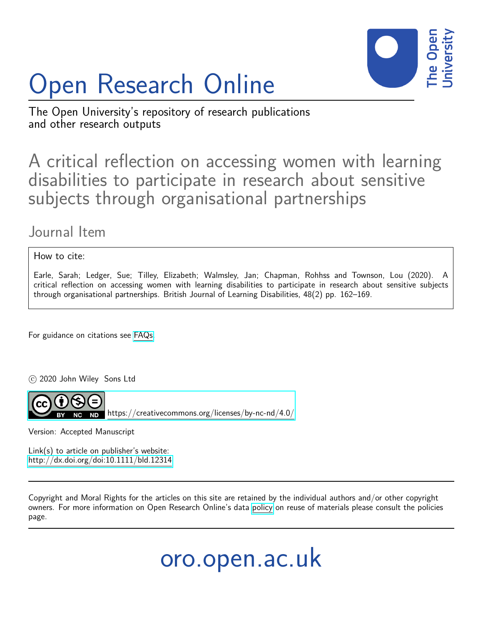

# Open Research Online

The Open University's repository of research publications and other research outputs

A critical reflection on accessing women with learning disabilities to participate in research about sensitive subjects through organisational partnerships

# Journal Item

How to cite:

Earle, Sarah; Ledger, Sue; Tilley, Elizabeth; Walmsley, Jan; Chapman, Rohhss and Townson, Lou (2020). A critical reflection on accessing women with learning disabilities to participate in research about sensitive subjects through organisational partnerships. British Journal of Learning Disabilities, 48(2) pp. 162–169.

For guidance on citations see [FAQs.](http://oro.open.ac.uk/help/helpfaq.html)

c 2020 John Wiley Sons Ltd



<https://creativecommons.org/licenses/by-nc-nd/4.0/>

Version: Accepted Manuscript

Link(s) to article on publisher's website: <http://dx.doi.org/doi:10.1111/bld.12314>

Copyright and Moral Rights for the articles on this site are retained by the individual authors and/or other copyright owners. For more information on Open Research Online's data [policy](http://oro.open.ac.uk/policies.html) on reuse of materials please consult the policies page.

oro.open.ac.uk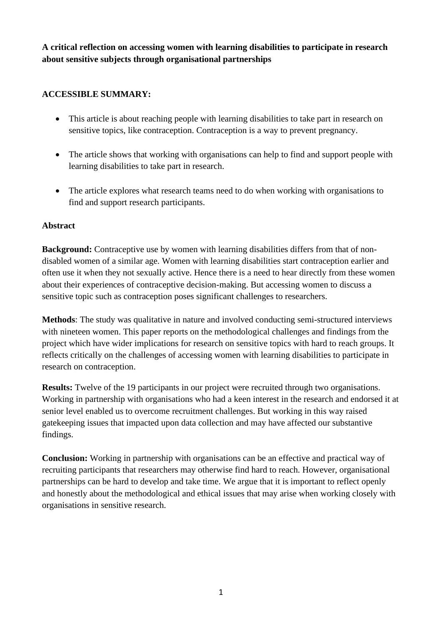**A critical reflection on accessing women with learning disabilities to participate in research about sensitive subjects through organisational partnerships**

# **ACCESSIBLE SUMMARY:**

- This article is about reaching people with learning disabilities to take part in research on sensitive topics, like contraception. Contraception is a way to prevent pregnancy.
- The article shows that working with organisations can help to find and support people with learning disabilities to take part in research.
- The article explores what research teams need to do when working with organisations to find and support research participants.

#### **Abstract**

**Background:** Contraceptive use by women with learning disabilities differs from that of nondisabled women of a similar age. Women with learning disabilities start contraception earlier and often use it when they not sexually active. Hence there is a need to hear directly from these women about their experiences of contraceptive decision-making. But accessing women to discuss a sensitive topic such as contraception poses significant challenges to researchers.

**Methods**: The study was qualitative in nature and involved conducting semi-structured interviews with nineteen women. This paper reports on the methodological challenges and findings from the project which have wider implications for research on sensitive topics with hard to reach groups. It reflects critically on the challenges of accessing women with learning disabilities to participate in research on contraception.

**Results:** Twelve of the 19 participants in our project were recruited through two organisations. Working in partnership with organisations who had a keen interest in the research and endorsed it at senior level enabled us to overcome recruitment challenges. But working in this way raised gatekeeping issues that impacted upon data collection and may have affected our substantive findings.

**Conclusion:** Working in partnership with organisations can be an effective and practical way of recruiting participants that researchers may otherwise find hard to reach. However, organisational partnerships can be hard to develop and take time. We argue that it is important to reflect openly and honestly about the methodological and ethical issues that may arise when working closely with organisations in sensitive research.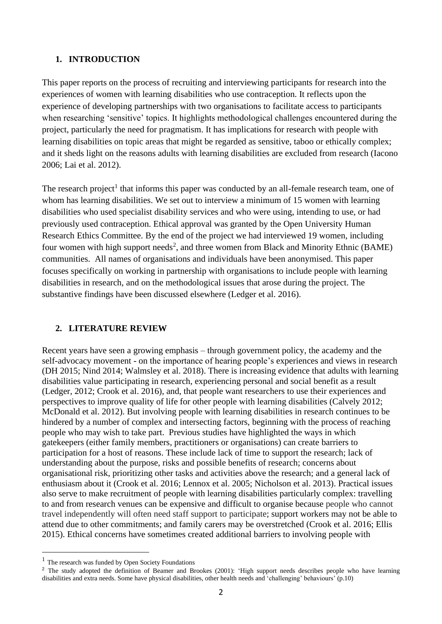#### **1. INTRODUCTION**

This paper reports on the process of recruiting and interviewing participants for research into the experiences of women with learning disabilities who use contraception. It reflects upon the experience of developing partnerships with two organisations to facilitate access to participants when researching 'sensitive' topics. It highlights methodological challenges encountered during the project, particularly the need for pragmatism. It has implications for research with people with learning disabilities on topic areas that might be regarded as sensitive, taboo or ethically complex; and it sheds light on the reasons adults with learning disabilities are excluded from research (Iacono 2006; Lai et al. 2012).

The research project<sup>1</sup> that informs this paper was conducted by an all-female research team, one of whom has learning disabilities. We set out to interview a minimum of 15 women with learning disabilities who used specialist disability services and who were using, intending to use, or had previously used contraception. Ethical approval was granted by the Open University Human Research Ethics Committee. By the end of the project we had interviewed 19 women, including four women with high support needs<sup>2</sup>, and three women from Black and Minority Ethnic (BAME) communities. All names of organisations and individuals have been anonymised. This paper focuses specifically on working in partnership with organisations to include people with learning disabilities in research, and on the methodological issues that arose during the project. The substantive findings have been discussed elsewhere (Ledger et al. 2016).

#### **2. LITERATURE REVIEW**

Recent years have seen a growing emphasis – through government policy, the academy and the self-advocacy movement - on the importance of hearing people's experiences and views in research (DH 2015; Nind 2014; Walmsley et al. 2018). There is increasing evidence that adults with learning disabilities value participating in research, experiencing personal and social benefit as a result (Ledger, 2012; Crook et al. 2016), and, that people want researchers to use their experiences and perspectives to improve quality of life for other people with learning disabilities (Calvely 2012; McDonald et al. 2012). But involving people with learning disabilities in research continues to be hindered by a number of complex and intersecting factors, beginning with the process of reaching people who may wish to take part. Previous studies have highlighted the ways in which gatekeepers (either family members, practitioners or organisations) can create barriers to participation for a host of reasons. These include lack of time to support the research; lack of understanding about the purpose, risks and possible benefits of research; concerns about organisational risk, prioritizing other tasks and activities above the research; and a general lack of enthusiasm about it (Crook et al. 2016; Lennox et al. 2005; Nicholson et al. 2013). Practical issues also serve to make recruitment of people with learning disabilities particularly complex: travelling to and from research venues can be expensive and difficult to organise because people who cannot travel independently will often need staff support to participate; support workers may not be able to attend due to other commitments; and family carers may be overstretched (Crook et al. 2016; Ellis 2015). Ethical concerns have sometimes created additional barriers to involving people with

<sup>&</sup>lt;sup>1</sup> The research was funded by Open Society Foundations

<sup>&</sup>lt;sup>2</sup> The study adopted the definition of Beamer and Brookes (2001): 'High support needs describes people who have learning disabilities and extra needs. Some have physical disabilities, other health needs and 'challenging' behaviours' (p.10)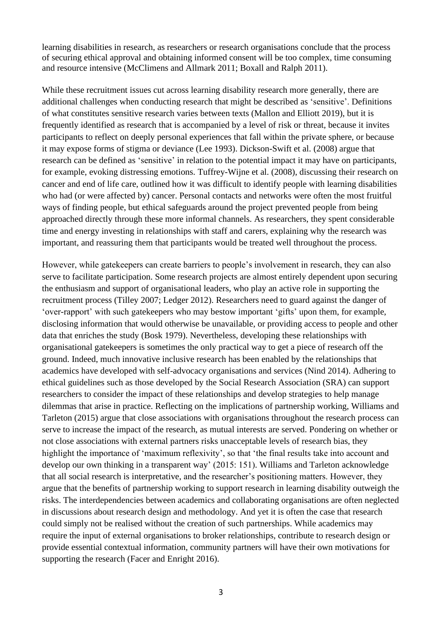learning disabilities in research, as researchers or research organisations conclude that the process of securing ethical approval and obtaining informed consent will be too complex, time consuming and resource intensive (McClimens and Allmark 2011; Boxall and Ralph 2011).

While these recruitment issues cut across learning disability research more generally, there are additional challenges when conducting research that might be described as 'sensitive'. Definitions of what constitutes sensitive research varies between texts (Mallon and Elliott 2019), but it is frequently identified as research that is accompanied by a level of risk or threat, because it invites participants to reflect on deeply personal experiences that fall within the private sphere, or because it may expose forms of stigma or deviance (Lee 1993). Dickson-Swift et al. (2008) argue that research can be defined as 'sensitive' in relation to the potential impact it may have on participants, for example, evoking distressing emotions. Tuffrey-Wijne et al. (2008), discussing their research on cancer and end of life care, outlined how it was difficult to identify people with learning disabilities who had (or were affected by) cancer. Personal contacts and networks were often the most fruitful ways of finding people, but ethical safeguards around the project prevented people from being approached directly through these more informal channels. As researchers, they spent considerable time and energy investing in relationships with staff and carers, explaining why the research was important, and reassuring them that participants would be treated well throughout the process.

However, while gatekeepers can create barriers to people's involvement in research, they can also serve to facilitate participation. Some research projects are almost entirely dependent upon securing the enthusiasm and support of organisational leaders, who play an active role in supporting the recruitment process (Tilley 2007; Ledger 2012). Researchers need to guard against the danger of 'over-rapport' with such gatekeepers who may bestow important 'gifts' upon them, for example, disclosing information that would otherwise be unavailable, or providing access to people and other data that enriches the study (Bosk 1979). Nevertheless, developing these relationships with organisational gatekeepers is sometimes the only practical way to get a piece of research off the ground. Indeed, much innovative inclusive research has been enabled by the relationships that academics have developed with self-advocacy organisations and services (Nind 2014). Adhering to ethical guidelines such as those developed by the Social Research Association (SRA) can support researchers to consider the impact of these relationships and develop strategies to help manage dilemmas that arise in practice. Reflecting on the implications of partnership working, Williams and Tarleton (2015) argue that close associations with organisations throughout the research process can serve to increase the impact of the research, as mutual interests are served. Pondering on whether or not close associations with external partners risks unacceptable levels of research bias, they highlight the importance of 'maximum reflexivity', so that 'the final results take into account and develop our own thinking in a transparent way' (2015: 151). Williams and Tarleton acknowledge that all social research is interpretative, and the researcher's positioning matters. However, they argue that the benefits of partnership working to support research in learning disability outweigh the risks. The interdependencies between academics and collaborating organisations are often neglected in discussions about research design and methodology. And yet it is often the case that research could simply not be realised without the creation of such partnerships. While academics may require the input of external organisations to broker relationships, contribute to research design or provide essential contextual information, community partners will have their own motivations for supporting the research (Facer and Enright 2016).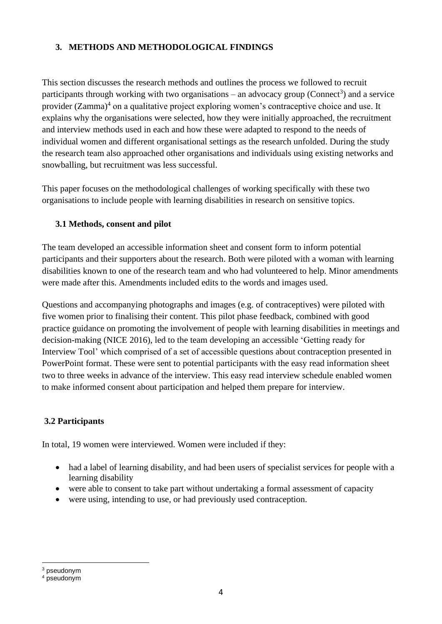# **3. METHODS AND METHODOLOGICAL FINDINGS**

This section discusses the research methods and outlines the process we followed to recruit participants through working with two organisations – an advocacy group (Connect<sup>3</sup>) and a service provider (Zamma)<sup>4</sup> on a qualitative project exploring women's contraceptive choice and use. It explains why the organisations were selected, how they were initially approached, the recruitment and interview methods used in each and how these were adapted to respond to the needs of individual women and different organisational settings as the research unfolded. During the study the research team also approached other organisations and individuals using existing networks and snowballing, but recruitment was less successful.

This paper focuses on the methodological challenges of working specifically with these two organisations to include people with learning disabilities in research on sensitive topics.

#### **3.1 Methods, consent and pilot**

The team developed an accessible information sheet and consent form to inform potential participants and their supporters about the research. Both were piloted with a woman with learning disabilities known to one of the research team and who had volunteered to help. Minor amendments were made after this. Amendments included edits to the words and images used.

Questions and accompanying photographs and images (e.g. of contraceptives) were piloted with five women prior to finalising their content. This pilot phase feedback, combined with good practice guidance on promoting the involvement of people with learning disabilities in meetings and decision-making (NICE 2016), led to the team developing an accessible 'Getting ready for Interview Tool' which comprised of a set of accessible questions about contraception presented in PowerPoint format. These were sent to potential participants with the easy read information sheet two to three weeks in advance of the interview. This easy read interview schedule enabled women to make informed consent about participation and helped them prepare for interview.

# **3.2 Participants**

In total, 19 women were interviewed. Women were included if they:

- had a label of learning disability, and had been users of specialist services for people with a learning disability
- were able to consent to take part without undertaking a formal assessment of capacity
- were using, intending to use, or had previously used contraception.

<sup>3</sup> pseudonym

<sup>4</sup> pseudonym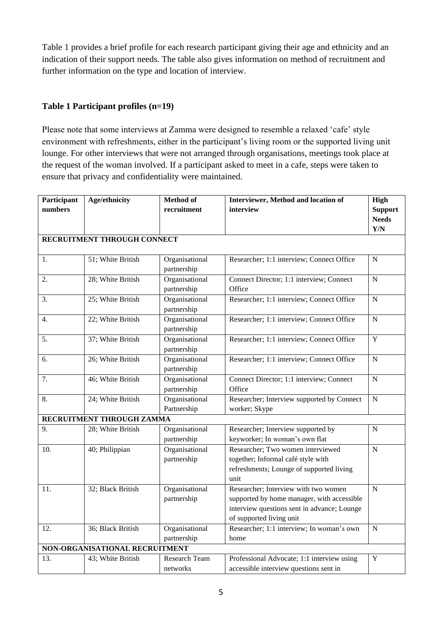Table 1 provides a brief profile for each research participant giving their age and ethnicity and an indication of their support needs. The table also gives information on method of recruitment and further information on the type and location of interview.

# **Table 1 Participant profiles (n=19)**

Please note that some interviews at Zamma were designed to resemble a relaxed 'cafe' style environment with refreshments, either in the participant's living room or the supported living unit lounge. For other interviews that were not arranged through organisations, meetings took place at the request of the woman involved. If a participant asked to meet in a cafe, steps were taken to ensure that privacy and confidentiality were maintained.

| Participant                    | Age/ethnicity     | <b>Method of</b> | Interviewer, Method and location of         | High           |  |  |  |
|--------------------------------|-------------------|------------------|---------------------------------------------|----------------|--|--|--|
| numbers                        |                   | recruitment      | interview                                   | <b>Support</b> |  |  |  |
|                                |                   |                  |                                             | <b>Needs</b>   |  |  |  |
|                                |                   |                  |                                             | Y/N            |  |  |  |
| RECRUITMENT THROUGH CONNECT    |                   |                  |                                             |                |  |  |  |
|                                |                   |                  |                                             |                |  |  |  |
| 1.                             | 51; White British | Organisational   | Researcher; 1:1 interview; Connect Office   | N              |  |  |  |
|                                |                   | partnership      |                                             |                |  |  |  |
| 2.                             | 28; White British | Organisational   | Connect Director; 1:1 interview; Connect    | $\mathbf N$    |  |  |  |
|                                |                   | partnership      | Office                                      |                |  |  |  |
| 3.                             | 25; White British | Organisational   | Researcher; 1:1 interview; Connect Office   | ${\bf N}$      |  |  |  |
|                                |                   | partnership      |                                             |                |  |  |  |
| 4.                             | 22; White British | Organisational   | Researcher; 1:1 interview; Connect Office   | $\mathbf N$    |  |  |  |
|                                |                   | partnership      |                                             |                |  |  |  |
| 5.                             | 37; White British | Organisational   | Researcher; 1:1 interview; Connect Office   | $\mathbf Y$    |  |  |  |
|                                |                   | partnership      |                                             |                |  |  |  |
| 6.                             | 26; White British | Organisational   | Researcher; 1:1 interview; Connect Office   | $\mathbf N$    |  |  |  |
|                                |                   | partnership      |                                             |                |  |  |  |
| 7.                             | 46; White British | Organisational   | Connect Director; 1:1 interview; Connect    | ${\bf N}$      |  |  |  |
|                                |                   | partnership      | Office                                      |                |  |  |  |
| 8.                             | 24; White British | Organisational   | Researcher; Interview supported by Connect  | N              |  |  |  |
|                                |                   | Partnership      | worker; Skype                               |                |  |  |  |
| RECRUITMENT THROUGH ZAMMA      |                   |                  |                                             |                |  |  |  |
| 9.                             | 28; White British | Organisational   | Researcher; Interview supported by          | $\mathbf N$    |  |  |  |
|                                |                   | partnership      | keyworker; In woman's own flat              |                |  |  |  |
| 10.                            | 40; Philippian    | Organisational   | Researcher; Two women interviewed           | ${\bf N}$      |  |  |  |
|                                |                   | partnership      | together; Informal café style with          |                |  |  |  |
|                                |                   |                  | refreshments; Lounge of supported living    |                |  |  |  |
|                                |                   |                  | unit                                        |                |  |  |  |
| 11.                            | 32; Black British | Organisational   | Researcher; Interview with two women        | $\mathbf N$    |  |  |  |
|                                |                   | partnership      | supported by home manager, with accessible  |                |  |  |  |
|                                |                   |                  | interview questions sent in advance; Lounge |                |  |  |  |
|                                |                   |                  | of supported living unit                    |                |  |  |  |
| 12.                            | 36; Black British | Organisational   | Researcher; 1:1 interview; In woman's own   | $\mathbf N$    |  |  |  |
|                                |                   | partnership      | home                                        |                |  |  |  |
| NON-ORGANISATIONAL RECRUITMENT |                   |                  |                                             |                |  |  |  |
| 13.                            | 43; White British | Research Team    | Professional Advocate; 1:1 interview using  | Y              |  |  |  |
|                                |                   | networks         | accessible interview questions sent in      |                |  |  |  |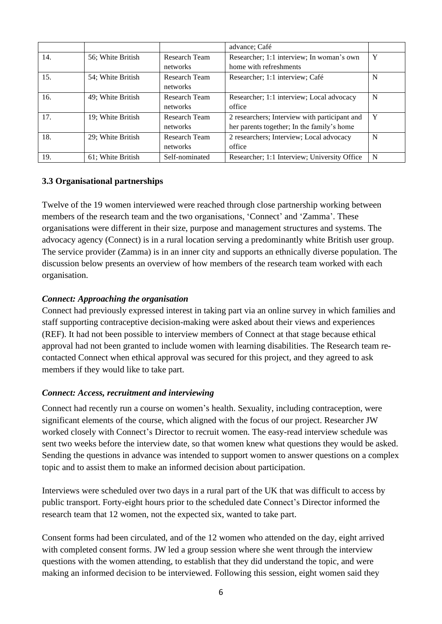|     |                   |                      | advance; Café                                 |   |
|-----|-------------------|----------------------|-----------------------------------------------|---|
| 14. | 56; White British | Research Team        | Researcher; 1:1 interview; In woman's own     | Y |
|     |                   | networks             | home with refreshments                        |   |
| 15. | 54; White British | Research Team        | Researcher; 1:1 interview; Café               | N |
|     |                   | networks             |                                               |   |
| 16. | 49; White British | Research Team        | Researcher; 1:1 interview; Local advocacy     | N |
|     |                   | networks             | office                                        |   |
| 17. | 19; White British | <b>Research Team</b> | 2 researchers; Interview with participant and | Y |
|     |                   | networks             | her parents together; In the family's home    |   |
| 18. | 29; White British | <b>Research Team</b> | 2 researchers; Interview; Local advocacy      | N |
|     |                   | networks             | office                                        |   |
| 19. | 61; White British | Self-nominated       | Researcher; 1:1 Interview; University Office  | N |

#### **3.3 Organisational partnerships**

Twelve of the 19 women interviewed were reached through close partnership working between members of the research team and the two organisations, 'Connect' and 'Zamma'. These organisations were different in their size, purpose and management structures and systems. The advocacy agency (Connect) is in a rural location serving a predominantly white British user group. The service provider (Zamma) is in an inner city and supports an ethnically diverse population. The discussion below presents an overview of how members of the research team worked with each organisation.

#### *Connect: Approaching the organisation*

Connect had previously expressed interest in taking part via an online survey in which families and staff supporting contraceptive decision-making were asked about their views and experiences (REF). It had not been possible to interview members of Connect at that stage because ethical approval had not been granted to include women with learning disabilities. The Research team recontacted Connect when ethical approval was secured for this project, and they agreed to ask members if they would like to take part.

# *Connect: Access, recruitment and interviewing*

Connect had recently run a course on women's health. Sexuality, including contraception, were significant elements of the course, which aligned with the focus of our project. Researcher JW worked closely with Connect's Director to recruit women. The easy-read interview schedule was sent two weeks before the interview date, so that women knew what questions they would be asked. Sending the questions in advance was intended to support women to answer questions on a complex topic and to assist them to make an informed decision about participation.

Interviews were scheduled over two days in a rural part of the UK that was difficult to access by public transport. Forty-eight hours prior to the scheduled date Connect's Director informed the research team that 12 women, not the expected six, wanted to take part.

Consent forms had been circulated, and of the 12 women who attended on the day, eight arrived with completed consent forms. JW led a group session where she went through the interview questions with the women attending, to establish that they did understand the topic, and were making an informed decision to be interviewed. Following this session, eight women said they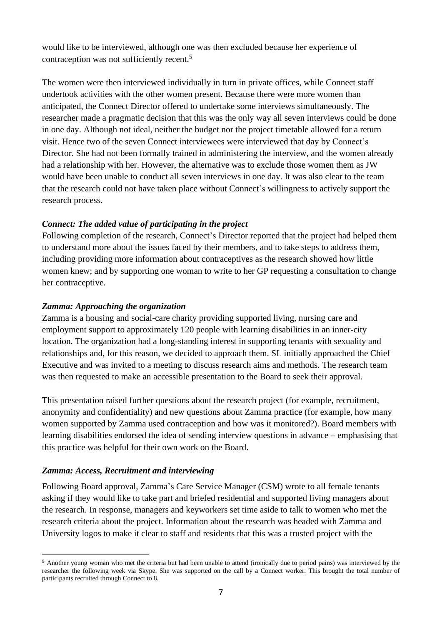would like to be interviewed, although one was then excluded because her experience of contraception was not sufficiently recent. 5

The women were then interviewed individually in turn in private offices, while Connect staff undertook activities with the other women present. Because there were more women than anticipated, the Connect Director offered to undertake some interviews simultaneously. The researcher made a pragmatic decision that this was the only way all seven interviews could be done in one day. Although not ideal, neither the budget nor the project timetable allowed for a return visit. Hence two of the seven Connect interviewees were interviewed that day by Connect's Director. She had not been formally trained in administering the interview, and the women already had a relationship with her. However, the alternative was to exclude those women them as JW would have been unable to conduct all seven interviews in one day. It was also clear to the team that the research could not have taken place without Connect's willingness to actively support the research process.

#### *Connect: The added value of participating in the project*

Following completion of the research, Connect's Director reported that the project had helped them to understand more about the issues faced by their members, and to take steps to address them, including providing more information about contraceptives as the research showed how little women knew; and by supporting one woman to write to her GP requesting a consultation to change her contraceptive.

#### *Zamma: Approaching the organization*

Zamma is a housing and social-care charity providing supported living, nursing care and employment support to approximately 120 people with learning disabilities in an inner-city location. The organization had a long-standing interest in supporting tenants with sexuality and relationships and, for this reason, we decided to approach them. SL initially approached the Chief Executive and was invited to a meeting to discuss research aims and methods. The research team was then requested to make an accessible presentation to the Board to seek their approval.

This presentation raised further questions about the research project (for example, recruitment, anonymity and confidentiality) and new questions about Zamma practice (for example, how many women supported by Zamma used contraception and how was it monitored?). Board members with learning disabilities endorsed the idea of sending interview questions in advance – emphasising that this practice was helpful for their own work on the Board.

# *Zamma: Access, Recruitment and interviewing*

Following Board approval, Zamma's Care Service Manager (CSM) wrote to all female tenants asking if they would like to take part and briefed residential and supported living managers about the research. In response, managers and keyworkers set time aside to talk to women who met the research criteria about the project. Information about the research was headed with Zamma and University logos to make it clear to staff and residents that this was a trusted project with the

<sup>5</sup> Another young woman who met the criteria but had been unable to attend (ironically due to period pains) was interviewed by the researcher the following week via Skype. She was supported on the call by a Connect worker. This brought the total number of participants recruited through Connect to 8.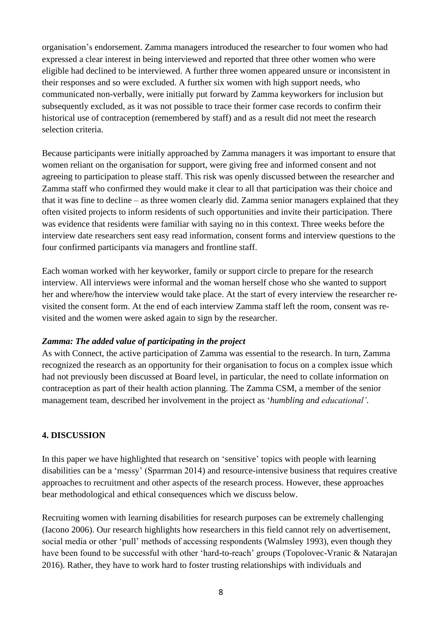organisation's endorsement. Zamma managers introduced the researcher to four women who had expressed a clear interest in being interviewed and reported that three other women who were eligible had declined to be interviewed. A further three women appeared unsure or inconsistent in their responses and so were excluded. A further six women with high support needs, who communicated non-verbally, were initially put forward by Zamma keyworkers for inclusion but subsequently excluded, as it was not possible to trace their former case records to confirm their historical use of contraception (remembered by staff) and as a result did not meet the research selection criteria.

Because participants were initially approached by Zamma managers it was important to ensure that women reliant on the organisation for support, were giving free and informed consent and not agreeing to participation to please staff. This risk was openly discussed between the researcher and Zamma staff who confirmed they would make it clear to all that participation was their choice and that it was fine to decline – as three women clearly did. Zamma senior managers explained that they often visited projects to inform residents of such opportunities and invite their participation. There was evidence that residents were familiar with saying no in this context. Three weeks before the interview date researchers sent easy read information, consent forms and interview questions to the four confirmed participants via managers and frontline staff.

Each woman worked with her keyworker, family or support circle to prepare for the research interview. All interviews were informal and the woman herself chose who she wanted to support her and where/how the interview would take place. At the start of every interview the researcher revisited the consent form. At the end of each interview Zamma staff left the room, consent was revisited and the women were asked again to sign by the researcher.

#### *Zamma: The added value of participating in the project*

As with Connect, the active participation of Zamma was essential to the research. In turn, Zamma recognized the research as an opportunity for their organisation to focus on a complex issue which had not previously been discussed at Board level, in particular, the need to collate information on contraception as part of their health action planning. The Zamma CSM, a member of the senior management team, described her involvement in the project as '*humbling and educational'*.

#### **4. DISCUSSION**

In this paper we have highlighted that research on 'sensitive' topics with people with learning disabilities can be a 'messy' (Sparrman 2014) and resource-intensive business that requires creative approaches to recruitment and other aspects of the research process. However, these approaches bear methodological and ethical consequences which we discuss below.

Recruiting women with learning disabilities for research purposes can be extremely challenging (Iacono 2006). Our research highlights how researchers in this field cannot rely on advertisement, social media or other 'pull' methods of accessing respondents (Walmsley 1993), even though they have been found to be successful with other 'hard-to-reach' groups (Topolovec-Vranic & Natarajan 2016). Rather, they have to work hard to foster trusting relationships with individuals and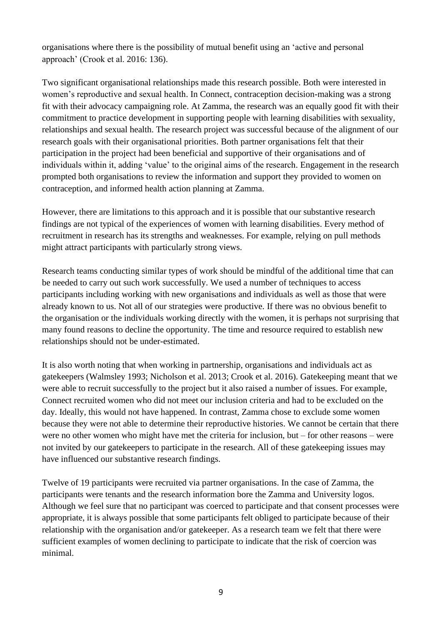organisations where there is the possibility of mutual benefit using an 'active and personal approach' (Crook et al. 2016: 136).

Two significant organisational relationships made this research possible. Both were interested in women's reproductive and sexual health. In Connect, contraception decision-making was a strong fit with their advocacy campaigning role. At Zamma, the research was an equally good fit with their commitment to practice development in supporting people with learning disabilities with sexuality, relationships and sexual health. The research project was successful because of the alignment of our research goals with their organisational priorities. Both partner organisations felt that their participation in the project had been beneficial and supportive of their organisations and of individuals within it, adding 'value' to the original aims of the research. Engagement in the research prompted both organisations to review the information and support they provided to women on contraception, and informed health action planning at Zamma.

However, there are limitations to this approach and it is possible that our substantive research findings are not typical of the experiences of women with learning disabilities. Every method of recruitment in research has its strengths and weaknesses. For example, relying on pull methods might attract participants with particularly strong views.

Research teams conducting similar types of work should be mindful of the additional time that can be needed to carry out such work successfully. We used a number of techniques to access participants including working with new organisations and individuals as well as those that were already known to us. Not all of our strategies were productive. If there was no obvious benefit to the organisation or the individuals working directly with the women, it is perhaps not surprising that many found reasons to decline the opportunity. The time and resource required to establish new relationships should not be under-estimated.

It is also worth noting that when working in partnership, organisations and individuals act as gatekeepers (Walmsley 1993; Nicholson et al. 2013; Crook et al. 2016). Gatekeeping meant that we were able to recruit successfully to the project but it also raised a number of issues. For example, Connect recruited women who did not meet our inclusion criteria and had to be excluded on the day. Ideally, this would not have happened. In contrast, Zamma chose to exclude some women because they were not able to determine their reproductive histories. We cannot be certain that there were no other women who might have met the criteria for inclusion, but – for other reasons – were not invited by our gatekeepers to participate in the research. All of these gatekeeping issues may have influenced our substantive research findings.

Twelve of 19 participants were recruited via partner organisations. In the case of Zamma, the participants were tenants and the research information bore the Zamma and University logos. Although we feel sure that no participant was coerced to participate and that consent processes were appropriate, it is always possible that some participants felt obliged to participate because of their relationship with the organisation and/or gatekeeper. As a research team we felt that there were sufficient examples of women declining to participate to indicate that the risk of coercion was minimal.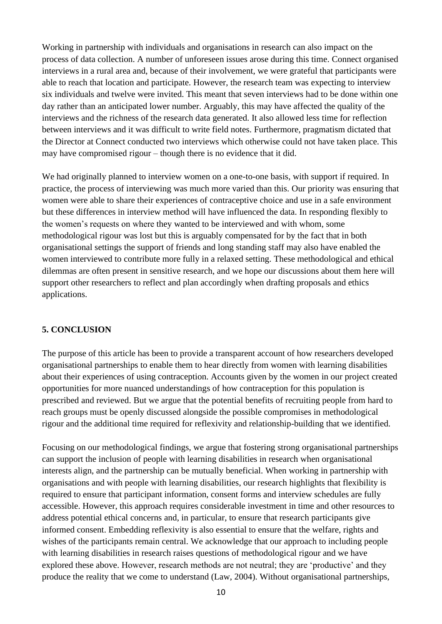Working in partnership with individuals and organisations in research can also impact on the process of data collection. A number of unforeseen issues arose during this time. Connect organised interviews in a rural area and, because of their involvement, we were grateful that participants were able to reach that location and participate. However, the research team was expecting to interview six individuals and twelve were invited. This meant that seven interviews had to be done within one day rather than an anticipated lower number. Arguably, this may have affected the quality of the interviews and the richness of the research data generated. It also allowed less time for reflection between interviews and it was difficult to write field notes. Furthermore, pragmatism dictated that the Director at Connect conducted two interviews which otherwise could not have taken place. This may have compromised rigour – though there is no evidence that it did.

We had originally planned to interview women on a one-to-one basis, with support if required. In practice, the process of interviewing was much more varied than this. Our priority was ensuring that women were able to share their experiences of contraceptive choice and use in a safe environment but these differences in interview method will have influenced the data. In responding flexibly to the women's requests on where they wanted to be interviewed and with whom, some methodological rigour was lost but this is arguably compensated for by the fact that in both organisational settings the support of friends and long standing staff may also have enabled the women interviewed to contribute more fully in a relaxed setting. These methodological and ethical dilemmas are often present in sensitive research, and we hope our discussions about them here will support other researchers to reflect and plan accordingly when drafting proposals and ethics applications.

#### **5. CONCLUSION**

The purpose of this article has been to provide a transparent account of how researchers developed organisational partnerships to enable them to hear directly from women with learning disabilities about their experiences of using contraception. Accounts given by the women in our project created opportunities for more nuanced understandings of how contraception for this population is prescribed and reviewed. But we argue that the potential benefits of recruiting people from hard to reach groups must be openly discussed alongside the possible compromises in methodological rigour and the additional time required for reflexivity and relationship-building that we identified.

Focusing on our methodological findings, we argue that fostering strong organisational partnerships can support the inclusion of people with learning disabilities in research when organisational interests align, and the partnership can be mutually beneficial. When working in partnership with organisations and with people with learning disabilities, our research highlights that flexibility is required to ensure that participant information, consent forms and interview schedules are fully accessible. However, this approach requires considerable investment in time and other resources to address potential ethical concerns and, in particular, to ensure that research participants give informed consent. Embedding reflexivity is also essential to ensure that the welfare, rights and wishes of the participants remain central. We acknowledge that our approach to including people with learning disabilities in research raises questions of methodological rigour and we have explored these above. However, research methods are not neutral; they are 'productive' and they produce the reality that we come to understand (Law, 2004). Without organisational partnerships,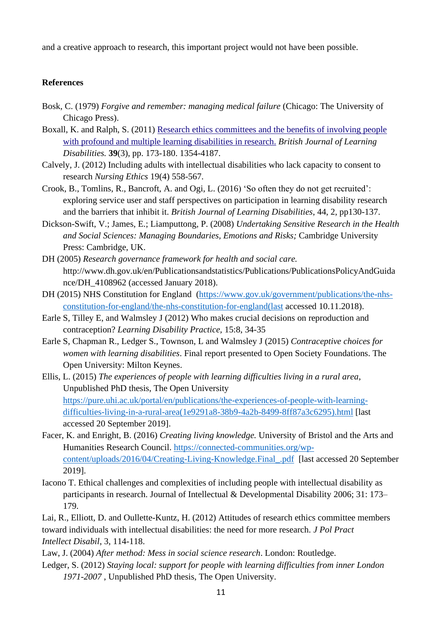and a creative approach to research, this important project would not have been possible.

#### **References**

- Bosk, C. (1979) *Forgive and remember: managing medical failure* (Chicago: The University of Chicago Press).
- Boxall, K. and Ralph, S. (2011) [Research ethics committees and the benefits of involving people](http://nectar.northampton.ac.uk/5866/)  [with profound and multiple learning disabilities in research.](http://nectar.northampton.ac.uk/5866/) *British Journal of Learning Disabilities.* **39**(3), pp. 173-180. 1354-4187.
- Calvely, J. (2012) Including adults with intellectual disabilities who lack capacity to consent to research *Nursing Ethics* 19(4) 558-567.
- Crook, B., Tomlins, R., Bancroft, A. and Ogi, L. (2016) 'So often they do not get recruited': exploring service user and staff perspectives on participation in learning disability research and the barriers that inhibit it. *British Journal of Learning Disabilities*, 44, 2, pp130-137.
- Dickson-Swift, V.; James, E.; Liamputtong, P. (2008) *Undertaking Sensitive Research in the Health and Social Sciences: Managing Boundaries, Emotions and Risks;* Cambridge University Press: Cambridge, UK.
- DH (2005) *Research governance framework for health and social care.* http://www.dh.gov.uk/en/Publicationsandstatistics/Publications/PublicationsPolicyAndGuida nce/DH\_4108962 (accessed January 2018).
- DH (2015) NHS Constitution for England [\(https://www.gov.uk/government/publications/the-nhs](https://www.gov.uk/government/publications/the-nhs-constitution-for-england/the-nhs-constitution-for-england(last)[constitution-for-england/the-nhs-constitution-for-england\(last](https://www.gov.uk/government/publications/the-nhs-constitution-for-england/the-nhs-constitution-for-england(last) accessed 10.11.2018).
- Earle S, Tilley E, and Walmsley J (2012) Who makes crucial decisions on reproduction and contraception? *Learning Disability Practice,* 15:8, 34-35
- Earle S, Chapman R., Ledger S., Townson, L and Walmsley J (2015) *Contraceptive choices for women with learning disabilities*. Final report presented to Open Society Foundations. The Open University: Milton Keynes.
- Ellis, L. (2015) *The experiences of people with learning difficulties living in a rural area*, Unpublished PhD thesis, The Open University [https://pure.uhi.ac.uk/portal/en/publications/the-experiences-of-people-with-learning](https://pure.uhi.ac.uk/portal/en/publications/the-experiences-of-people-with-learning-difficulties-living-in-a-rural-area(1e9291a8-38b9-4a2b-8499-8ff87a3c6295).html)[difficulties-living-in-a-rural-area\(1e9291a8-38b9-4a2b-8499-8ff87a3c6295\).html](https://pure.uhi.ac.uk/portal/en/publications/the-experiences-of-people-with-learning-difficulties-living-in-a-rural-area(1e9291a8-38b9-4a2b-8499-8ff87a3c6295).html) [last accessed 20 September 2019].
- Facer, K. and Enright, B. (2016) *Creating living knowledge.* University of Bristol and the Arts and Humanities Research Council. [https://connected-communities.org/wp](https://connected-communities.org/wp-content/uploads/2016/04/Creating-Living-Knowledge.Final_.pdf)[content/uploads/2016/04/Creating-Living-Knowledge.Final\\_.pdf](https://connected-communities.org/wp-content/uploads/2016/04/Creating-Living-Knowledge.Final_.pdf) [last accessed 20 September 2019].
- Iacono T. Ethical challenges and complexities of including people with intellectual disability as participants in research. Journal of Intellectual & Developmental Disability 2006; 31: 173– 179.
- Lai, R., Elliott, D. and Oullette-Kuntz, H. (2012) Attitudes of research ethics committee members toward individuals with intellectual disabilities: the need for more research. *J Pol Pract Intellect Disabil*, 3, 114-118.
- Law, J. (2004) *After method: Mess in social science research*. London: Routledge.
- Ledger, S. (2012) *Staying local: support for people with learning difficulties from inner London 1971-2007* , Unpublished PhD thesis, The Open University.